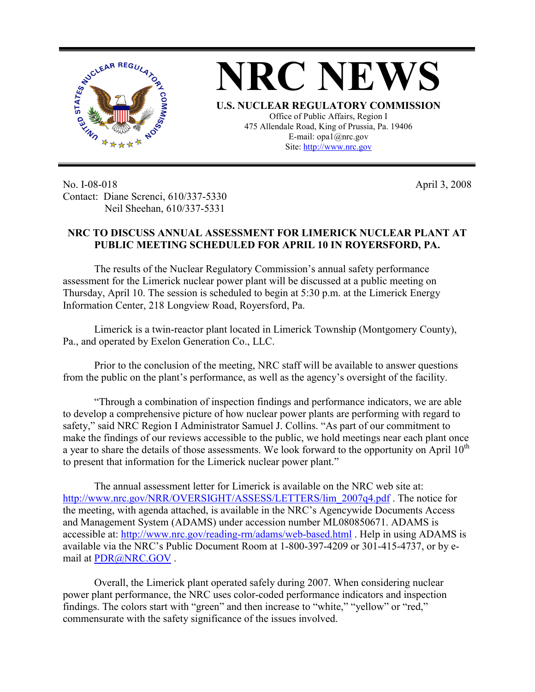



Site: http://www.nrc.gov

No. I-08-018 Contact: Diane Screnci, 610/337-5330 Neil Sheehan, 610/337-5331

April 3, 2008

## **NRC TO DISCUSS ANNUAL ASSESSMENT FOR LIMERICK NUCLEAR PLANT AT PUBLIC MEETING SCHEDULED FOR APRIL 10 IN ROYERSFORD, PA.**

The results of the Nuclear Regulatory Commission's annual safety performance assessment for the Limerick nuclear power plant will be discussed at a public meeting on Thursday, April 10. The session is scheduled to begin at 5:30 p.m. at the Limerick Energy Information Center, 218 Longview Road, Royersford, Pa.

Limerick is a twin-reactor plant located in Limerick Township (Montgomery County), Pa., and operated by Exelon Generation Co., LLC.

Prior to the conclusion of the meeting, NRC staff will be available to answer questions from the public on the plant's performance, as well as the agency's oversight of the facility.

"Through a combination of inspection findings and performance indicators, we are able to develop a comprehensive picture of how nuclear power plants are performing with regard to safety," said NRC Region I Administrator Samuel J. Collins. "As part of our commitment to make the findings of our reviews accessible to the public, we hold meetings near each plant once a year to share the details of those assessments. We look forward to the opportunity on April  $10^{th}$ to present that information for the Limerick nuclear power plant."

The annual assessment letter for Limerick is available on the NRC web site at: http://www.nrc.gov/NRR/OVERSIGHT/ASSESS/LETTERS/lim\_2007q4.pdf. The notice for the meeting, with agenda attached, is available in the NRC's Agencywide Documents Access and Management System (ADAMS) under accession number ML080850671. ADAMS is accessible at: http://www.nrc.gov/reading-rm/adams/web-based.html . Help in using ADAMS is available via the NRC's Public Document Room at 1-800-397-4209 or 301-415-4737, or by email at PDR@NRC.GOV .

Overall, the Limerick plant operated safely during 2007. When considering nuclear power plant performance, the NRC uses color-coded performance indicators and inspection findings. The colors start with "green" and then increase to "white," "yellow" or "red," commensurate with the safety significance of the issues involved.